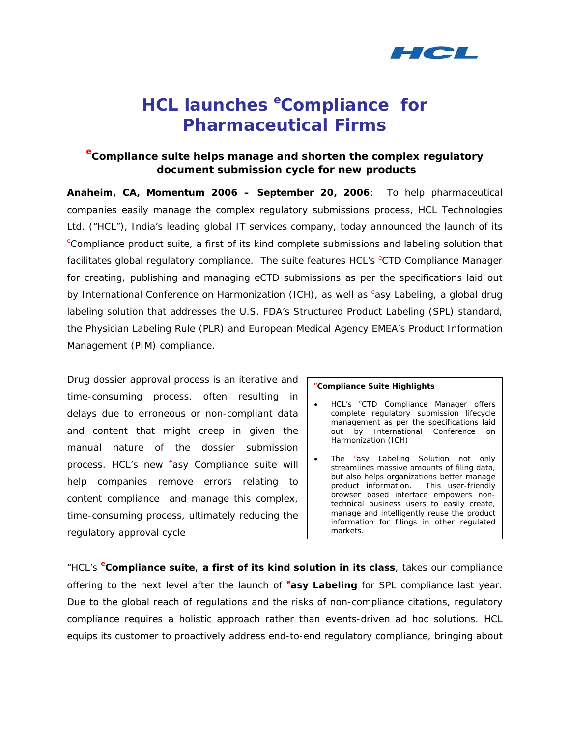

# **HCL launches** *<sup>e</sup> Compliance* **for Pharmaceutical Firms**

# *e Compliance suite helps manage and shorten the complex regulatory document submission cycle for new products*

**Anaheim, CA, Momentum 2006 – September 20, 2006**: To help pharmaceutical companies easily manage the complex regulatory submissions process, HCL Technologies Ltd. ("HCL"), India's leading global IT services company, today announced the launch of its *e* Compliance product suite, a first of its kind complete submissions and labeling solution that facilitates global regulatory compliance. The suite features HCL's <sup>e</sup>CTD Compliance Manager for creating, publishing and managing eCTD submissions as per the specifications laid out by International Conference on Harmonization (ICH), as well as *<sup>e</sup>* asy Labeling, a global drug labeling solution that addresses the U.S. FDA's Structured Product Labeling (SPL) standard, the Physician Labeling Rule (PLR) and European Medical Agency EMEA's Product Information Management (PIM) compliance.

Drug dossier approval process is an iterative and time-consuming process, often resulting in delays due to erroneous or non-compliant data and content that might creep in given the manual nature of the dossier submission process. HCL's new *<sup>e</sup>* asy Compliance suite will help companies remove errors relating to content compliance and manage this complex, time-consuming process, ultimately reducing the regulatory approval cycle

### *e Compliance Suite Highlights*

- HCL's *<sup>e</sup>* CTD Compliance Manager offers complete regulatory submission lifecycle management as per the specifications laid out by International Conference on Harmonization (ICH)
- The *<sup>e</sup>* asy Labeling Solution not only streamlines massive amounts of filing data, but also helps organizations better manage product information. This user-friendly browser based interface empowers nontechnical business users to easily create, manage and intelligently reuse the product information for filings in other regulated markets.

*"HCL's <sup>e</sup> Compliance suite*, **a first of its kind solution in its class**, takes our compliance offering to the next level after the launch of **<sup>e</sup>** *asy Labeling* for SPL compliance last year. Due to the global reach of regulations and the risks of non-compliance citations, regulatory compliance requires a holistic approach rather than events-driven ad hoc solutions. HCL equips its customer to proactively address end-to-end regulatory compliance, bringing about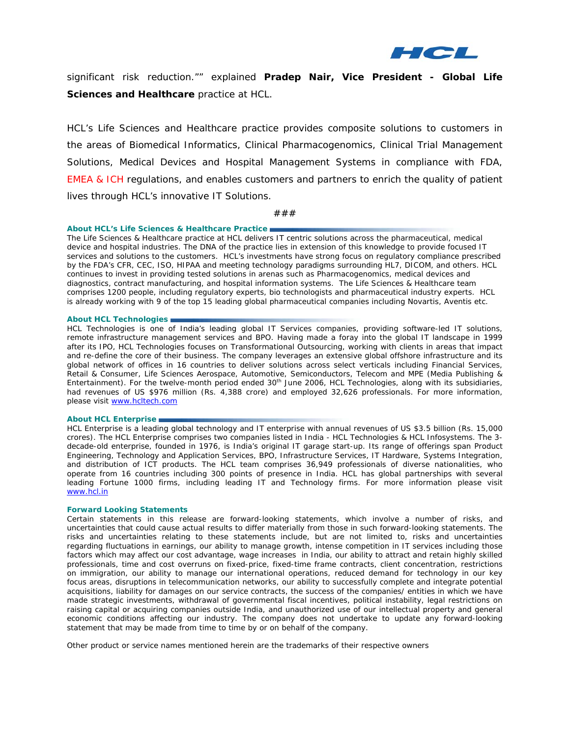

significant risk reduction."" explained **Pradep Nair, Vice President - Global Life Sciences and Healthcare** practice at HCL.

HCL's Life Sciences and Healthcare practice provides composite solutions to customers in the areas of Biomedical Informatics, Clinical Pharmacogenomics, Clinical Trial Management Solutions, Medical Devices and Hospital Management Systems in compliance with FDA, EMEA & ICH regulations, and enables customers and partners to enrich the quality of patient lives through HCL's innovative IT Solutions.

###

#### **About HCL's Life Sciences & Healthcare Practice**

The Life Sciences & Healthcare practice at HCL delivers IT centric solutions across the pharmaceutical, medical device and hospital industries. The DNA of the practice lies in extension of this knowledge to provide focused IT services and solutions to the customers. HCL's investments have strong focus on regulatory compliance prescribed by the FDA's CFR, CEC, ISO, HIPAA and meeting technology paradigms surrounding HL7, DICOM, and others. HCL continues to invest in providing tested solutions in arenas such as Pharmacogenomics, medical devices and diagnostics, contract manufacturing, and hospital information systems. The Life Sciences & Healthcare team comprises 1200 people, including regulatory experts, bio technologists and pharmaceutical industry experts. HCL is already working with 9 of the top 15 leading global pharmaceutical companies including Novartis, Aventis etc.

#### **About HCL Technologies**

HCL Technologies is one of India's leading global IT Services companies, providing software-led IT solutions, remote infrastructure management services and BPO. Having made a foray into the global IT landscape in 1999 after its IPO, HCL Technologies focuses on Transformational Outsourcing, working with clients in areas that impact and re-define the core of their business. The company leverages an extensive global offshore infrastructure and its global network of offices in 16 countries to deliver solutions across select verticals including Financial Services, Retail & Consumer, Life Sciences Aerospace, Automotive, Semiconductors, Telecom and MPE (Media Publishing & Entertainment). For the twelve-month period ended 30<sup>th</sup> June 2006, HCL Technologies, along with its subsidiaries, had revenues of US \$976 million (Rs. 4,388 crore) and employed 32,626 professionals. For more information, please visit [www.hcltech.com](http://www.hcltech.com/)

#### **About HCL Enterprise**

HCL Enterprise is a leading global technology and IT enterprise with annual revenues of US \$3.5 billion (Rs. 15,000 crores). The HCL Enterprise comprises two companies listed in India - HCL Technologies & HCL Infosystems. The 3 decade-old enterprise, founded in 1976, is India's original IT garage start-up. Its range of offerings span Product Engineering, Technology and Application Services, BPO, Infrastructure Services, IT Hardware, Systems Integration, and distribution of ICT products. The HCL team comprises 36,949 professionals of diverse nationalities, who operate from 16 countries including 300 points of presence in India. HCL has global partnerships with several leading Fortune 1000 firms, including leading IT and Technology firms. For more information please visit [www.hcl.in](http://www.hcl.in/)

#### *Forward Looking Statements*

*Certain statements in this release are forward-looking statements, which involve a number of risks, and uncertainties that could cause actual results to differ materially from those in such forward-looking statements. The risks and uncertainties relating to these statements include, but are not limited to, risks and uncertainties regarding fluctuations in earnings, our ability to manage growth, intense competition in IT services including those factors which may affect our cost advantage, wage increases in India, our ability to attract and retain highly skilled professionals, time and cost overruns on fixed-price, fixed-time frame contracts, client concentration, restrictions on immigration, our ability to manage our international operations, reduced demand for technology in our key focus areas, disruptions in telecommunication networks, our ability to successfully complete and integrate potential acquisitions, liability for damages on our service contracts, the success of the companies/ entities in which we have made strategic investments, withdrawal of governmental fiscal incentives, political instability, legal restrictions on raising capital or acquiring companies outside India, and unauthorized use of our intellectual property and general economic conditions affecting our industry. The company does not undertake to update any forward-looking statement that may be made from time to time by or on behalf of the company.* 

*Other product or service names mentioned herein are the trademarks of their respective owners*